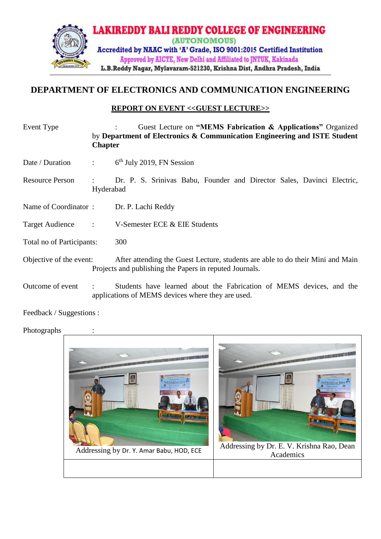

## **DEPARTMENT OF ELECTRONICS AND COMMUNICATION ENGINEERING**

## **REPORT ON EVENT <<GUEST LECTURE>>**

| Event Type                                            | <b>Chapter</b> | Guest Lecture on "MEMS Fabrication & Applications" Organized<br>by Department of Electronics & Communication Engineering and ISTE Student |
|-------------------------------------------------------|----------------|-------------------------------------------------------------------------------------------------------------------------------------------|
| Date / Duration                                       | $\mathcal{L}$  | $6th$ July 2019, FN Session                                                                                                               |
| <b>Resource Person</b>                                | Hyderabad      | Dr. P. S. Srinivas Babu, Founder and Director Sales, Davinci Electric,                                                                    |
| Name of Coordinator:                                  |                | Dr. P. Lachi Reddy                                                                                                                        |
| <b>Target Audience</b><br>$\sim$ $\sim$ $\sim$ $\sim$ |                | V-Semester ECE & EIE Students                                                                                                             |
| Total no of Participants:                             |                | 300                                                                                                                                       |
| Objective of the event:                               |                | After attending the Guest Lecture, students are able to do their Mini and Main<br>Projects and publishing the Papers in reputed Journals. |
| Outcome of event                                      |                | Students have learned about the Fabrication of MEMS devices, and the<br>applications of MEMS devices where they are used.                 |

Feedback / Suggestions :

Photographs :